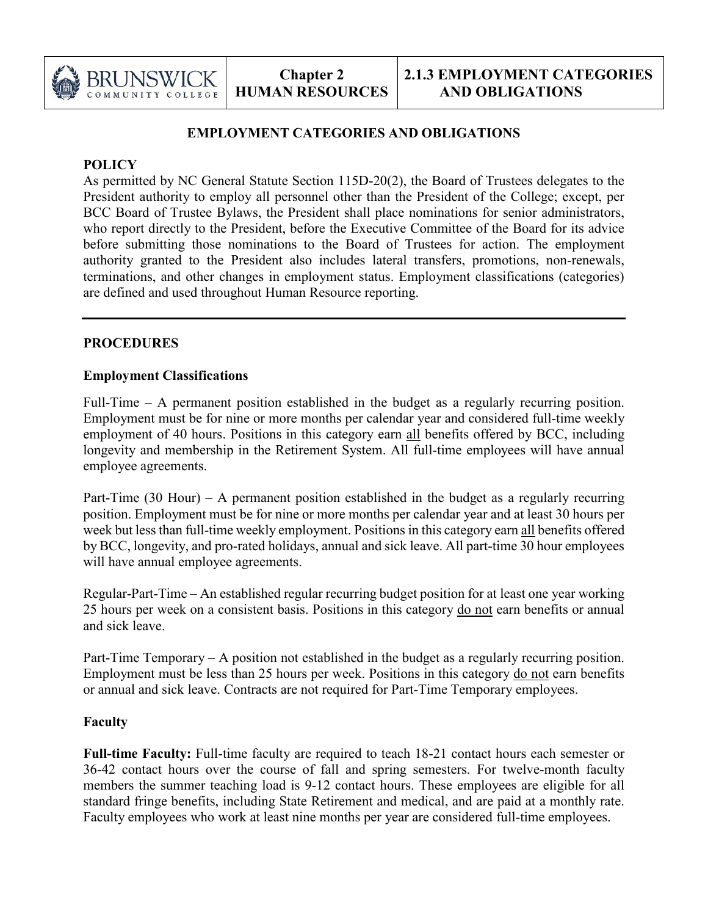

# **EMPLOYMENT CATEGORIES AND OBLIGATIONS**

### **POLICY**

As permitted by NC General Statute Section 115D-20(2), the Board of Trustees delegates to the President authority to employ all personnel other than the President of the College; except, per BCC Board of Trustee Bylaws, the President shall place nominations for senior administrators, who report directly to the President, before the Executive Committee of the Board for its advice before submitting those nominations to the Board of Trustees for action. The employment authority granted to the President also includes lateral transfers, promotions, non-renewals, terminations, and other changes in employment status. Employment classifications (categories) are defined and used throughout Human Resource reporting.

## **PROCEDURES**

## **Employment Classifications**

Full-Time – A permanent position established in the budget as a regularly recurring position. Employment must be for nine or more months per calendar year and considered full-time weekly employment of 40 hours. Positions in this category earn all benefits offered by BCC, including longevity and membership in the Retirement System. All full-time employees will have annual employee agreements.

Part-Time (30 Hour) – A permanent position established in the budget as a regularly recurring position. Employment must be for nine or more months per calendar year and at least 30 hours per week but less than full-time weekly employment. Positions in this category earn all benefits offered by BCC, longevity, and pro-rated holidays, annual and sick leave. All part-time 30 hour employees will have annual employee agreements.

Regular-Part-Time – An established regular recurring budget position for at least one year working 25 hours per week on a consistent basis. Positions in this category do not earn benefits or annual and sick leave.

Part-Time Temporary – A position not established in the budget as a regularly recurring position. Employment must be less than 25 hours per week. Positions in this category do not earn benefits or annual and sick leave. Contracts are not required for Part-Time Temporary employees.

## **Faculty**

**Full-time Faculty:** Full-time faculty are required to teach 18-21 contact hours each semester or 36-42 contact hours over the course of fall and spring semesters. For twelve-month faculty members the summer teaching load is 9-12 contact hours. These employees are eligible for all standard fringe benefits, including State Retirement and medical, and are paid at a monthly rate. Faculty employees who work at least nine months per year are considered full-time employees.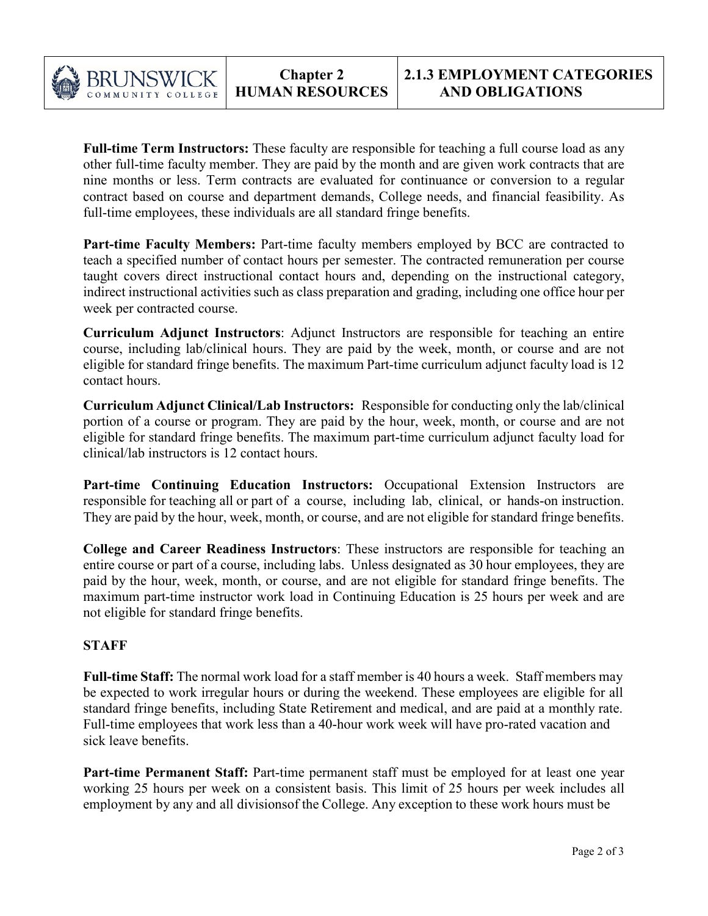

**Full-time Term Instructors:** These faculty are responsible for teaching a full course load as any other full-time faculty member. They are paid by the month and are given work contracts that are nine months or less. Term contracts are evaluated for continuance or conversion to a regular contract based on course and department demands, College needs, and financial feasibility. As full-time employees, these individuals are all standard fringe benefits.

Part-time Faculty Members: Part-time faculty members employed by BCC are contracted to teach a specified number of contact hours per semester. The contracted remuneration per course taught covers direct instructional contact hours and, depending on the instructional category, indirect instructional activities such as class preparation and grading, including one office hour per week per contracted course.

**Curriculum Adjunct Instructors**: Adjunct Instructors are responsible for teaching an entire course, including lab/clinical hours. They are paid by the week, month, or course and are not eligible for standard fringe benefits. The maximum Part-time curriculum adjunct faculty load is 12 contact hours.

**Curriculum Adjunct Clinical/Lab Instructors:** Responsible for conducting only the lab/clinical portion of a course or program. They are paid by the hour, week, month, or course and are not eligible for standard fringe benefits. The maximum part-time curriculum adjunct faculty load for clinical/lab instructors is 12 contact hours.

**Part-time Continuing Education Instructors:** Occupational Extension Instructors are responsible for teaching all or part of a course, including lab, clinical, or hands-on instruction. They are paid by the hour, week, month, or course, and are not eligible for standard fringe benefits.

**College and Career Readiness Instructors**: These instructors are responsible for teaching an entire course or part of a course, including labs. Unless designated as 30 hour employees, they are paid by the hour, week, month, or course, and are not eligible for standard fringe benefits. The maximum part-time instructor work load in Continuing Education is 25 hours per week and are not eligible for standard fringe benefits.

## **STAFF**

**Full-time Staff:** The normal work load for a staff member is 40 hours a week. Staff members may be expected to work irregular hours or during the weekend. These employees are eligible for all standard fringe benefits, including State Retirement and medical, and are paid at a monthly rate. Full-time employees that work less than a 40-hour work week will have pro-rated vacation and sick leave benefits.

Part-time Permanent Staff: Part-time permanent staff must be employed for at least one year working 25 hours per week on a consistent basis. This limit of 25 hours per week includes all employment by any and all divisionsof the College. Any exception to these work hours must be